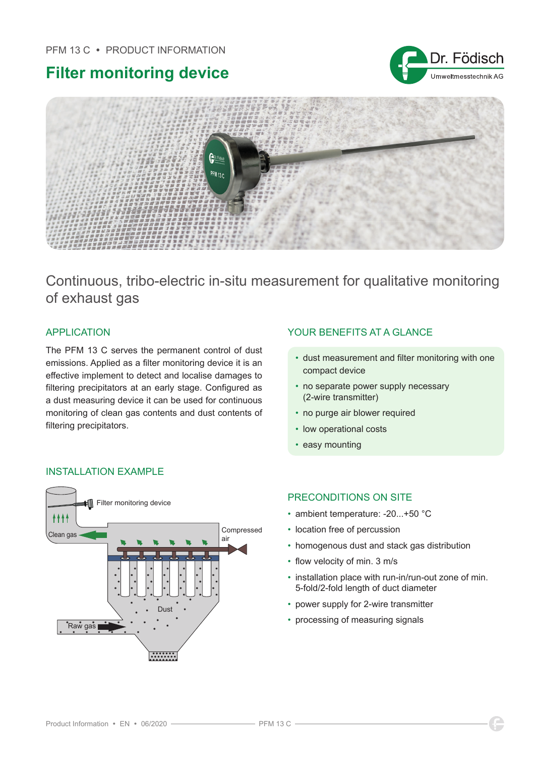## PFM 13 C · PRODUCT INFORMATION

# **Filter monitoring device**





Continuous, tribo-electric in-situ measurement for qualitative monitoring of exhaust gas

The PFM 13 C serves the permanent control of dust emissions. Applied as a filter monitoring device it is an effective implement to detect and localise damages to filtering precipitators at an early stage. Configured as a dust measuring device it can be used for continuous monitoring of clean gas contents and dust contents of filtering precipitators.

# APPLICATION YOUR BENEFITS AT A GLANCE

- dust measurement and filter monitoring with one compact device
- no separate power supply necessary (2-wire transmitter)
- no purge air blower required
- low operational costs
- easy mounting



# INSTALLATION EXAMPLE

# PRECONDITIONS ON SITE

- ambient temperature: -20...+50 °C
- location free of percussion
- homogenous dust and stack gas distribution
- flow velocity of min. 3 m/s
- installation place with run-in/run-out zone of min. 5-fold/2-fold length of duct diameter
- power supply for 2-wire transmitter
- processing of measuring signals